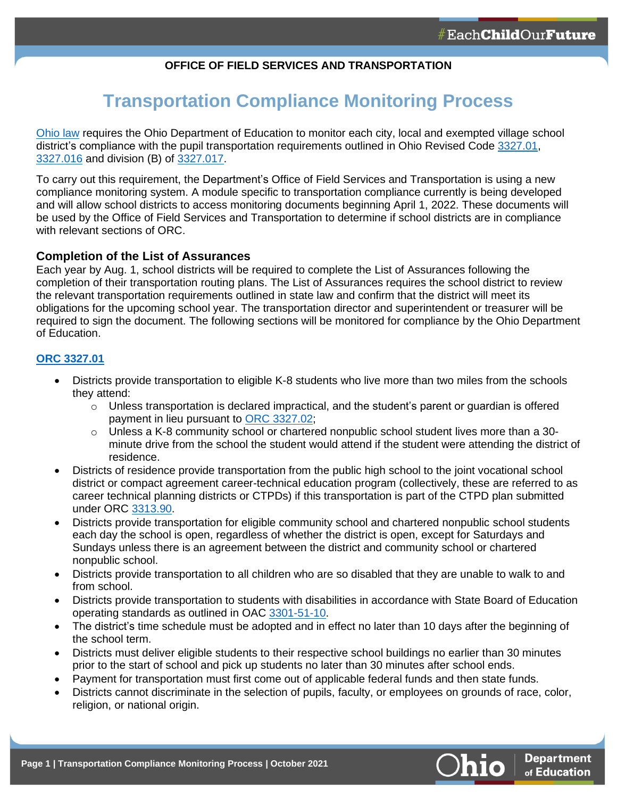## **OFFICE OF FIELD SERVICES AND TRANSPORTATION**

# **Transportation Compliance Monitoring Process**

[Ohio law](https://codes.ohio.gov/ohio-revised-code/section-3327.021) requires the Ohio Department of Education to monitor each city, local and exempted village school district's compliance with the pupil transportation requirements outlined in Ohio Revised Code [3327.01,](https://codes.ohio.gov/ohio-revised-code/section-3327.01) [3327.016](https://codes.ohio.gov/ohio-revised-code/section-3327.016) and division (B) of [3327.017.](https://codes.ohio.gov/ohio-revised-code/section-3327.017)

To carry out this requirement, the Department's Office of Field Services and Transportation is using a new compliance monitoring system. A module specific to transportation compliance currently is being developed and will allow school districts to access monitoring documents beginning April 1, 2022. These documents will be used by the Office of Field Services and Transportation to determine if school districts are in compliance with relevant sections of ORC.

#### **Completion of the List of Assurances**

Each year by Aug. 1, school districts will be required to complete the List of Assurances following the completion of their transportation routing plans. The List of Assurances requires the school district to review the relevant transportation requirements outlined in state law and confirm that the district will meet its obligations for the upcoming school year. The transportation director and superintendent or treasurer will be required to sign the document. The following sections will be monitored for compliance by the Ohio Department of Education.

#### **[ORC 3327.01](https://codes.ohio.gov/ohio-revised-code/section-3327.01)**

- Districts provide transportation to eligible K-8 students who live more than two miles from the schools they attend:
	- $\circ$  Unless transportation is declared impractical, and the student's parent or quardian is offered payment in lieu pursuant to [ORC 3327.02;](https://codes.ohio.gov/ohio-revised-code/section-3327.02)
	- $\circ$  Unless a K-8 community school or chartered nonpublic school student lives more than a 30minute drive from the school the student would attend if the student were attending the district of residence.
- Districts of residence provide transportation from the public high school to the joint vocational school district or compact agreement career-technical education program (collectively, these are referred to as career technical planning districts or CTPDs) if this transportation is part of the CTPD plan submitted under ORC [3313.90.](https://codes.ohio.gov/ohio-revised-code/section-3313.90)
- Districts provide transportation for eligible community school and chartered nonpublic school students each day the school is open, regardless of whether the district is open, except for Saturdays and Sundays unless there is an agreement between the district and community school or chartered nonpublic school.
- Districts provide transportation to all children who are so disabled that they are unable to walk to and from school.
- Districts provide transportation to students with disabilities in accordance with State Board of Education operating standards as outlined in OAC [3301-51-10.](https://codes.ohio.gov/ohio-administrative-code/rule-3301-51-10)
- The district's time schedule must be adopted and in effect no later than 10 days after the beginning of the school term.
- Districts must deliver eligible students to their respective school buildings no earlier than 30 minutes prior to the start of school and pick up students no later than 30 minutes after school ends.
- Payment for transportation must first come out of applicable federal funds and then state funds.
- Districts cannot discriminate in the selection of pupils, faculty, or employees on grounds of race, color, religion, or national origin.

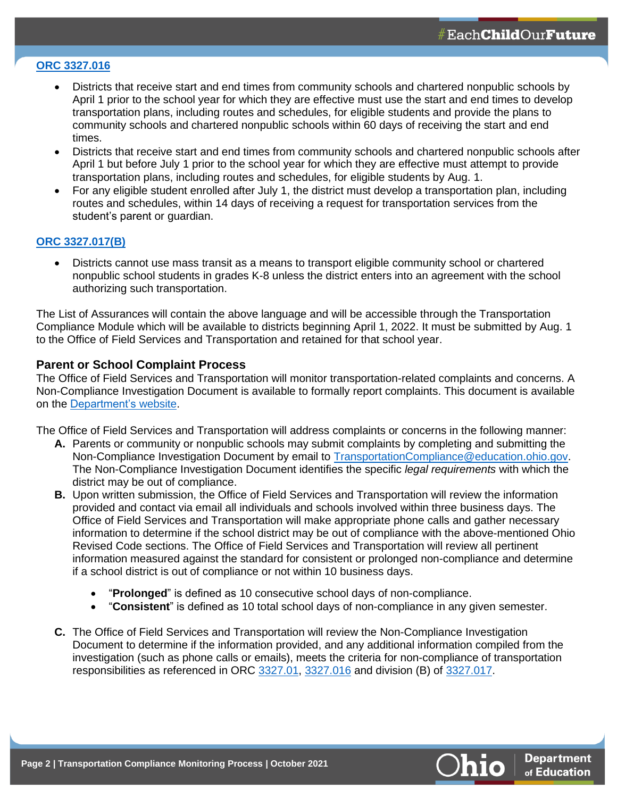# **[ORC 3327.016](https://codes.ohio.gov/ohio-revised-code/section-3327.016)**

- Districts that receive start and end times from community schools and chartered nonpublic schools by April 1 prior to the school year for which they are effective must use the start and end times to develop transportation plans, including routes and schedules, for eligible students and provide the plans to community schools and chartered nonpublic schools within 60 days of receiving the start and end times.
- Districts that receive start and end times from community schools and chartered nonpublic schools after April 1 but before July 1 prior to the school year for which they are effective must attempt to provide transportation plans, including routes and schedules, for eligible students by Aug. 1.
- For any eligible student enrolled after July 1, the district must develop a transportation plan, including routes and schedules, within 14 days of receiving a request for transportation services from the student's parent or guardian.

#### **[ORC 3327.017\(B\)](https://codes.ohio.gov/ohio-revised-code/section-3327.017)**

• Districts cannot use mass transit as a means to transport eligible community school or chartered nonpublic school students in grades K-8 unless the district enters into an agreement with the school authorizing such transportation.

The List of Assurances will contain the above language and will be accessible through the Transportation Compliance Module which will be available to districts beginning April 1, 2022. It must be submitted by Aug. 1 to the Office of Field Services and Transportation and retained for that school year.

## **Parent or School Complaint Process**

The Office of Field Services and Transportation will monitor transportation-related complaints and concerns. A Non-Compliance Investigation Document is available to formally report complaints. This document is available on the [Department's website.](http://education.ohio.gov/Topics/Finance-and-Funding/School-Transportation/Compliance-Monitoring-System-for-School-Related-Pu)

The Office of Field Services and Transportation will address complaints or concerns in the following manner:

- **A.** Parents or community or nonpublic schools may submit complaints by completing and submitting the Non-Compliance Investigation Document by email to [TransportationCompliance@education.ohio.gov.](mailto:TransportationCompliance@education.ohio.gov) The Non-Compliance Investigation Document identifies the specific *legal requirements* with which the district may be out of compliance.
- **B.** Upon written submission, the Office of Field Services and Transportation will review the information provided and contact via email all individuals and schools involved within three business days. The Office of Field Services and Transportation will make appropriate phone calls and gather necessary information to determine if the school district may be out of compliance with the above-mentioned Ohio Revised Code sections. The Office of Field Services and Transportation will review all pertinent information measured against the standard for consistent or prolonged non-compliance and determine if a school district is out of compliance or not within 10 business days.
	- "**Prolonged**" is defined as 10 consecutive school days of non-compliance.
	- "**Consistent**" is defined as 10 total school days of non-compliance in any given semester.
- **C.** The Office of Field Services and Transportation will review the Non-Compliance Investigation Document to determine if the information provided, and any additional information compiled from the investigation (such as phone calls or emails), meets the criteria for non-compliance of transportation responsibilities as referenced in ORC [3327.01,](https://codes.ohio.gov/ohio-revised-code/section-3327.01) [3327.016](https://codes.ohio.gov/ohio-revised-code/section-3327.016) and division (B) of [3327.017.](https://codes.ohio.gov/ohio-revised-code/section-3327.017)